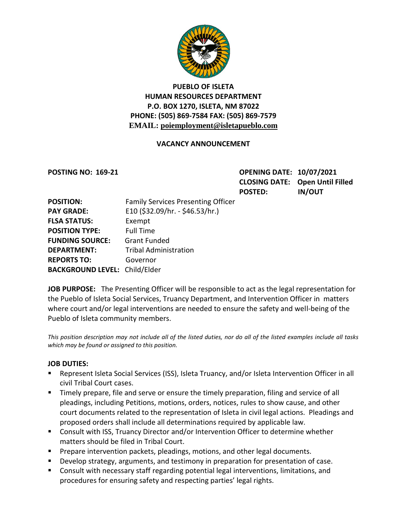

# **PUEBLO OF ISLETA HUMAN RESOURCES DEPARTMENT P.O. BOX 1270, ISLETA, NM 87022 PHONE: (505) 869-7584 FAX: (505) 869-7579 EMAIL: poiemployment@isletapueblo.com**

## **VACANCY ANNOUNCEMENT**

**POSTING NO: 169-21 OPENING DATE: 10/07/2021 CLOSING DATE: Open Until Filled POSTED: IN/OUT**

| <b>POSITION:</b>                     | <b>Family Services Presenting Officer</b> |
|--------------------------------------|-------------------------------------------|
| <b>PAY GRADE:</b>                    | E10 (\$32.09/hr. - \$46.53/hr.)           |
| <b>FLSA STATUS:</b>                  | Exempt                                    |
| <b>POSITION TYPE:</b>                | <b>Full Time</b>                          |
| <b>FUNDING SOURCE:</b>               | <b>Grant Funded</b>                       |
| <b>DEPARTMENT:</b>                   | <b>Tribal Administration</b>              |
| <b>REPORTS TO:</b>                   | Governor                                  |
| <b>BACKGROUND LEVEL: Child/Elder</b> |                                           |

**JOB PURPOSE:** The Presenting Officer will be responsible to act as the legal representation for the Pueblo of Isleta Social Services, Truancy Department, and Intervention Officer in matters where court and/or legal interventions are needed to ensure the safety and well-being of the Pueblo of Isleta community members.

*This position description may not include all of the listed duties, nor do all of the listed examples include all tasks which may be found or assigned to this position.*

### **JOB DUTIES:**

- Represent Isleta Social Services (ISS), Isleta Truancy, and/or Isleta Intervention Officer in all civil Tribal Court cases.
- **Timely prepare, file and serve or ensure the timely preparation, filing and service of all** pleadings, including Petitions, motions, orders, notices, rules to show cause, and other court documents related to the representation of Isleta in civil legal actions. Pleadings and proposed orders shall include all determinations required by applicable law.
- Consult with ISS, Truancy Director and/or Intervention Officer to determine whether matters should be filed in Tribal Court.
- **Prepare intervention packets, pleadings, motions, and other legal documents.**
- Develop strategy, arguments, and testimony in preparation for presentation of case.
- Consult with necessary staff regarding potential legal interventions, limitations, and procedures for ensuring safety and respecting parties' legal rights.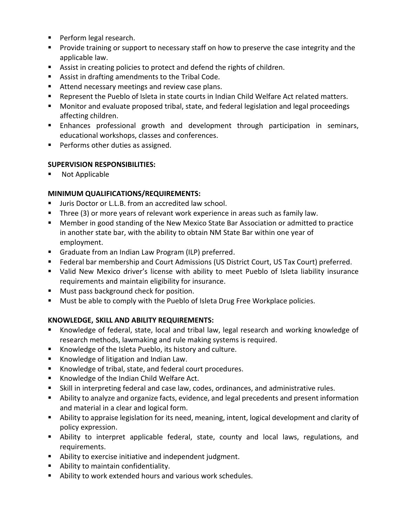- **Perform legal research.**
- **Provide training or support to necessary staff on how to preserve the case integrity and the** applicable law.
- Assist in creating policies to protect and defend the rights of children.
- Assist in drafting amendments to the Tribal Code.
- Attend necessary meetings and review case plans.
- Represent the Pueblo of Isleta in state courts in Indian Child Welfare Act related matters.
- Monitor and evaluate proposed tribal, state, and federal legislation and legal proceedings affecting children.
- Enhances professional growth and development through participation in seminars, educational workshops, classes and conferences.
- **Performs other duties as assigned.**

## **SUPERVISION RESPONSIBILITIES:**

Not Applicable

# **MINIMUM QUALIFICATIONS/REQUIREMENTS:**

- **ULTA:** Juris Doctor or L.L.B. from an accredited law school.
- Three (3) or more years of relevant work experience in areas such as family law.
- Member in good standing of the New Mexico State Bar Association or admitted to practice in another state bar, with the ability to obtain NM State Bar within one year of employment.
- Graduate from an Indian Law Program (ILP) preferred.
- Federal bar membership and Court Admissions (US District Court, US Tax Court) preferred.
- Valid New Mexico driver's license with ability to meet Pueblo of Isleta liability insurance requirements and maintain eligibility for insurance.
- **Must pass background check for position.**
- **Must be able to comply with the Pueblo of Isleta Drug Free Workplace policies.**

# **KNOWLEDGE, SKILL AND ABILITY REQUIREMENTS:**

- Knowledge of federal, state, local and tribal law, legal research and working knowledge of research methods, lawmaking and rule making systems is required.
- Knowledge of the Isleta Pueblo, its history and culture.
- **Knowledge of litigation and Indian Law.**
- Knowledge of tribal, state, and federal court procedures.
- Knowledge of the Indian Child Welfare Act.
- Skill in interpreting federal and case law, codes, ordinances, and administrative rules.
- Ability to analyze and organize facts, evidence, and legal precedents and present information and material in a clear and logical form.
- Ability to appraise legislation for its need, meaning, intent, logical development and clarity of policy expression.
- Ability to interpret applicable federal, state, county and local laws, regulations, and requirements.
- Ability to exercise initiative and independent judgment.
- Ability to maintain confidentiality.
- Ability to work extended hours and various work schedules.